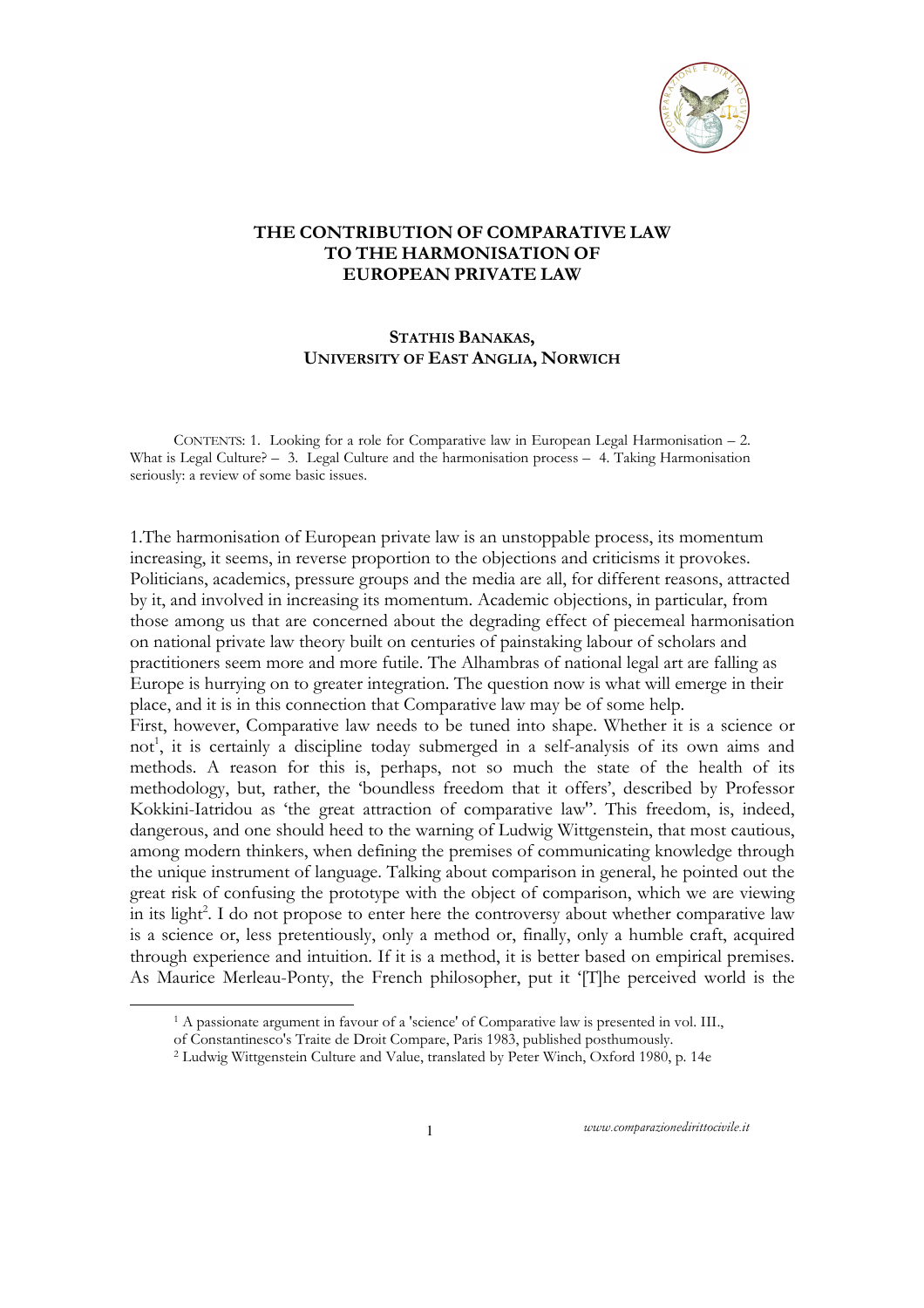

# THE CONTRIBUTION OF COMPARATIVE LAW TO THE HARMONISATION OF EUROPEAN PRIVATE LAW

### STATHIS BANAKAS, UNIVERSITY OF EAST ANGLIA, NORWICH

CONTENTS: 1. Looking for a role for Comparative law in European Legal Harmonisation – 2. What is Legal Culture?  $-$  3. Legal Culture and the harmonisation process  $-$  4. Taking Harmonisation seriously: a review of some basic issues.

1.The harmonisation of European private law is an unstoppable process, its momentum increasing, it seems, in reverse proportion to the objections and criticisms it provokes. Politicians, academics, pressure groups and the media are all, for different reasons, attracted by it, and involved in increasing its momentum. Academic objections, in particular, from those among us that are concerned about the degrading effect of piecemeal harmonisation on national private law theory built on centuries of painstaking labour of scholars and practitioners seem more and more futile. The Alhambras of national legal art are falling as Europe is hurrying on to greater integration. The question now is what will emerge in their place, and it is in this connection that Comparative law may be of some help. First, however, Comparative law needs to be tuned into shape. Whether it is a science or not<sup>1</sup>, it is certainly a discipline today submerged in a self-analysis of its own aims and methods. A reason for this is, perhaps, not so much the state of the health of its methodology, but, rather, the 'boundless freedom that it offers', described by Professor Kokkini-Iatridou as 'the great attraction of comparative law''. This freedom, is, indeed, dangerous, and one should heed to the warning of Ludwig Wittgenstein, that most cautious, among modern thinkers, when defining the premises of communicating knowledge through the unique instrument of language. Talking about comparison in general, he pointed out the great risk of confusing the prototype with the object of comparison, which we are viewing in its light<sup>2</sup>. I do not propose to enter here the controversy about whether comparative law is a science or, less pretentiously, only a method or, finally, only a humble craft, acquired through experience and intuition. If it is a method, it is better based on empirical premises. As Maurice Merleau-Ponty, the French philosopher, put it '[T]he perceived world is the

l

<sup>&</sup>lt;sup>1</sup> A passionate argument in favour of a 'science' of Comparative law is presented in vol. III.,

of Constantinesco's Traite de Droit Compare, Paris 1983, published posthumously.

<sup>2</sup> Ludwig Wittgenstein Culture and Value, translated by Peter Winch, Oxford 1980, p. 14e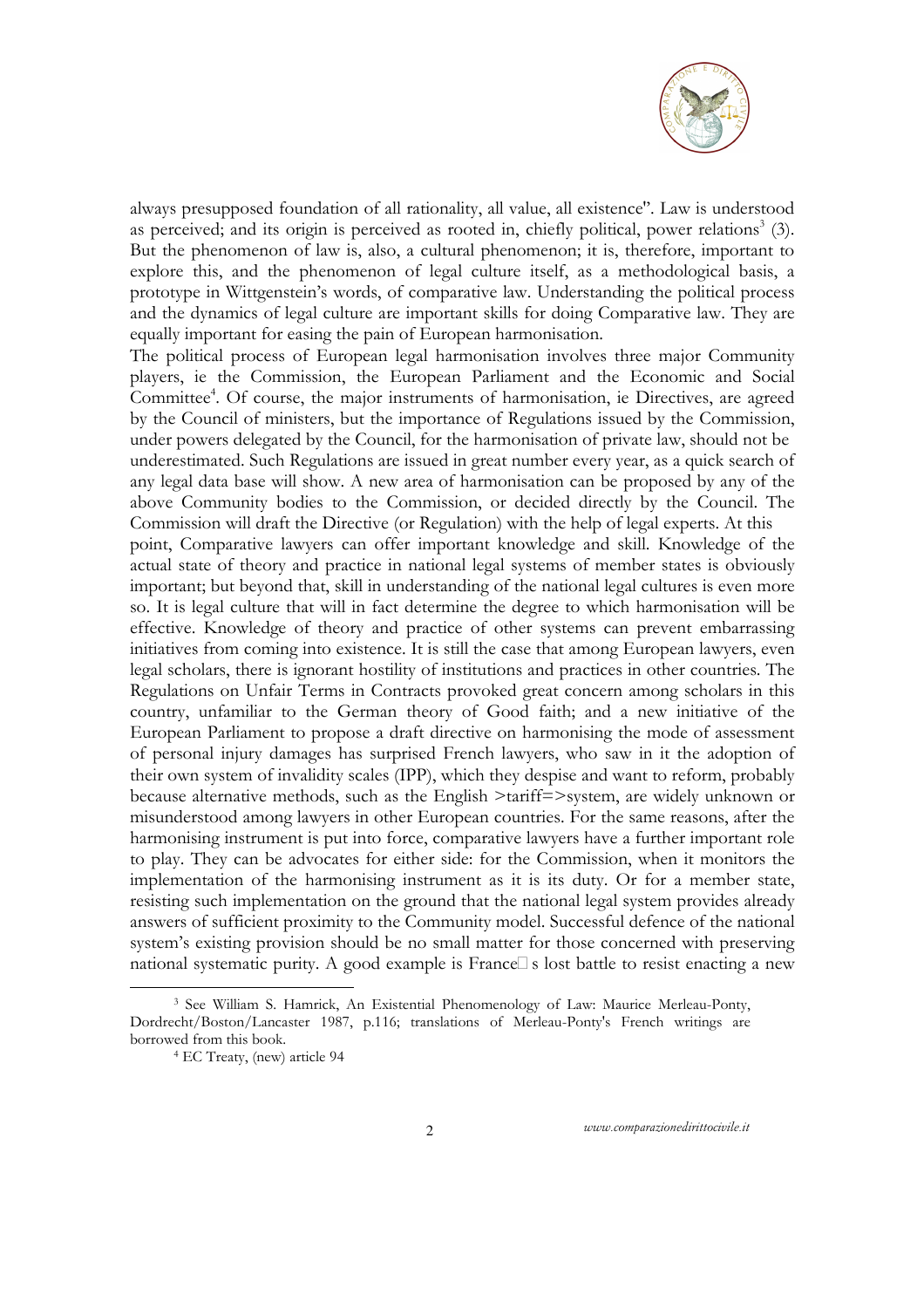

always presupposed foundation of all rationality, all value, all existence''. Law is understood as perceived; and its origin is perceived as rooted in, chiefly political, power relations<sup>3</sup> (3). But the phenomenon of law is, also, a cultural phenomenon; it is, therefore, important to explore this, and the phenomenon of legal culture itself, as a methodological basis, a prototype in Wittgenstein's words, of comparative law. Understanding the political process and the dynamics of legal culture are important skills for doing Comparative law. They are equally important for easing the pain of European harmonisation.

The political process of European legal harmonisation involves three major Community players, ie the Commission, the European Parliament and the Economic and Social Committee<sup>4</sup>. Of course, the major instruments of harmonisation, ie Directives, are agreed by the Council of ministers, but the importance of Regulations issued by the Commission, under powers delegated by the Council, for the harmonisation of private law, should not be underestimated. Such Regulations are issued in great number every year, as a quick search of any legal data base will show. A new area of harmonisation can be proposed by any of the above Community bodies to the Commission, or decided directly by the Council. The Commission will draft the Directive (or Regulation) with the help of legal experts. At this point, Comparative lawyers can offer important knowledge and skill. Knowledge of the actual state of theory and practice in national legal systems of member states is obviously important; but beyond that, skill in understanding of the national legal cultures is even more so. It is legal culture that will in fact determine the degree to which harmonisation will be effective. Knowledge of theory and practice of other systems can prevent embarrassing initiatives from coming into existence. It is still the case that among European lawyers, even legal scholars, there is ignorant hostility of institutions and practices in other countries. The Regulations on Unfair Terms in Contracts provoked great concern among scholars in this country, unfamiliar to the German theory of Good faith; and a new initiative of the European Parliament to propose a draft directive on harmonising the mode of assessment of personal injury damages has surprised French lawyers, who saw in it the adoption of their own system of invalidity scales (IPP), which they despise and want to reform, probably because alternative methods, such as the English >tariff=>system, are widely unknown or misunderstood among lawyers in other European countries. For the same reasons, after the harmonising instrument is put into force, comparative lawyers have a further important role to play. They can be advocates for either side: for the Commission, when it monitors the implementation of the harmonising instrument as it is its duty. Or for a member state, resisting such implementation on the ground that the national legal system provides already answers of sufficient proximity to the Community model. Successful defence of the national system's existing provision should be no small matter for those concerned with preserving national systematic purity. A good example is FranceGs lost battle to resist enacting a new

l

<sup>3</sup> See William S. Hamrick, An Existential Phenomenology of Law: Maurice Merleau-Ponty, Dordrecht/Boston/Lancaster 1987, p.116; translations of Merleau-Ponty's French writings are borrowed from this book.

<sup>4</sup> EC Treaty, (new) article 94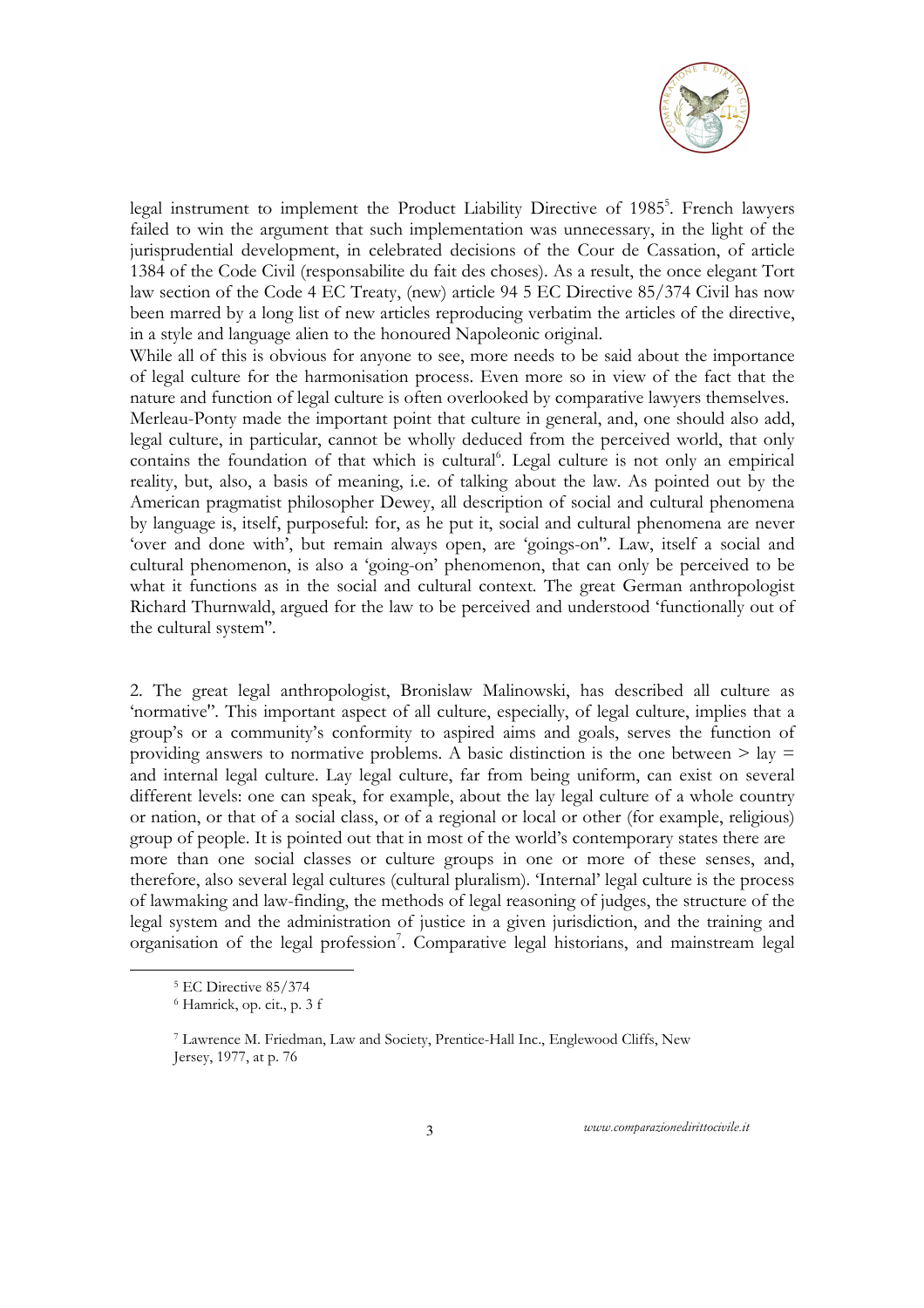

legal instrument to implement the Product Liability Directive of 1985<sup>5</sup>. French lawyers failed to win the argument that such implementation was unnecessary, in the light of the jurisprudential development, in celebrated decisions of the Cour de Cassation, of article 1384 of the Code Civil (responsabilite du fait des choses). As a result, the once elegant Tort law section of the Code 4 EC Treaty, (new) article 94 5 EC Directive 85/374 Civil has now been marred by a long list of new articles reproducing verbatim the articles of the directive, in a style and language alien to the honoured Napoleonic original.

While all of this is obvious for anyone to see, more needs to be said about the importance of legal culture for the harmonisation process. Even more so in view of the fact that the nature and function of legal culture is often overlooked by comparative lawyers themselves.

Merleau-Ponty made the important point that culture in general, and, one should also add, legal culture, in particular, cannot be wholly deduced from the perceived world, that only contains the foundation of that which is cultural<sup>6</sup>. Legal culture is not only an empirical reality, but, also, a basis of meaning, i.e. of talking about the law. As pointed out by the American pragmatist philosopher Dewey, all description of social and cultural phenomena by language is, itself, purposeful: for, as he put it, social and cultural phenomena are never 'over and done with', but remain always open, are 'goings-on''. Law, itself a social and cultural phenomenon, is also a 'going-on' phenomenon, that can only be perceived to be what it functions as in the social and cultural context. The great German anthropologist Richard Thurnwald, argued for the law to be perceived and understood 'functionally out of the cultural system''.

2. The great legal anthropologist, Bronislaw Malinowski, has described all culture as 'normative''. This important aspect of all culture, especially, of legal culture, implies that a group's or a community's conformity to aspired aims and goals, serves the function of providing answers to normative problems. A basic distinction is the one between  $>$  lay  $=$ and internal legal culture. Lay legal culture, far from being uniform, can exist on several different levels: one can speak, for example, about the lay legal culture of a whole country or nation, or that of a social class, or of a regional or local or other (for example, religious) group of people. It is pointed out that in most of the world's contemporary states there are more than one social classes or culture groups in one or more of these senses, and, therefore, also several legal cultures (cultural pluralism). 'Internal' legal culture is the process of lawmaking and law-finding, the methods of legal reasoning of judges, the structure of the legal system and the administration of justice in a given jurisdiction, and the training and organisation of the legal profession<sup>7</sup>. Comparative legal historians, and mainstream legal

l

<sup>5</sup> EC Directive 85/374

<sup>6</sup> Hamrick, op. cit., p. 3 f

<sup>7</sup> Lawrence M. Friedman, Law and Society, Prentice-Hall Inc., Englewood Cliffs, New Jersey, 1977, at p. 76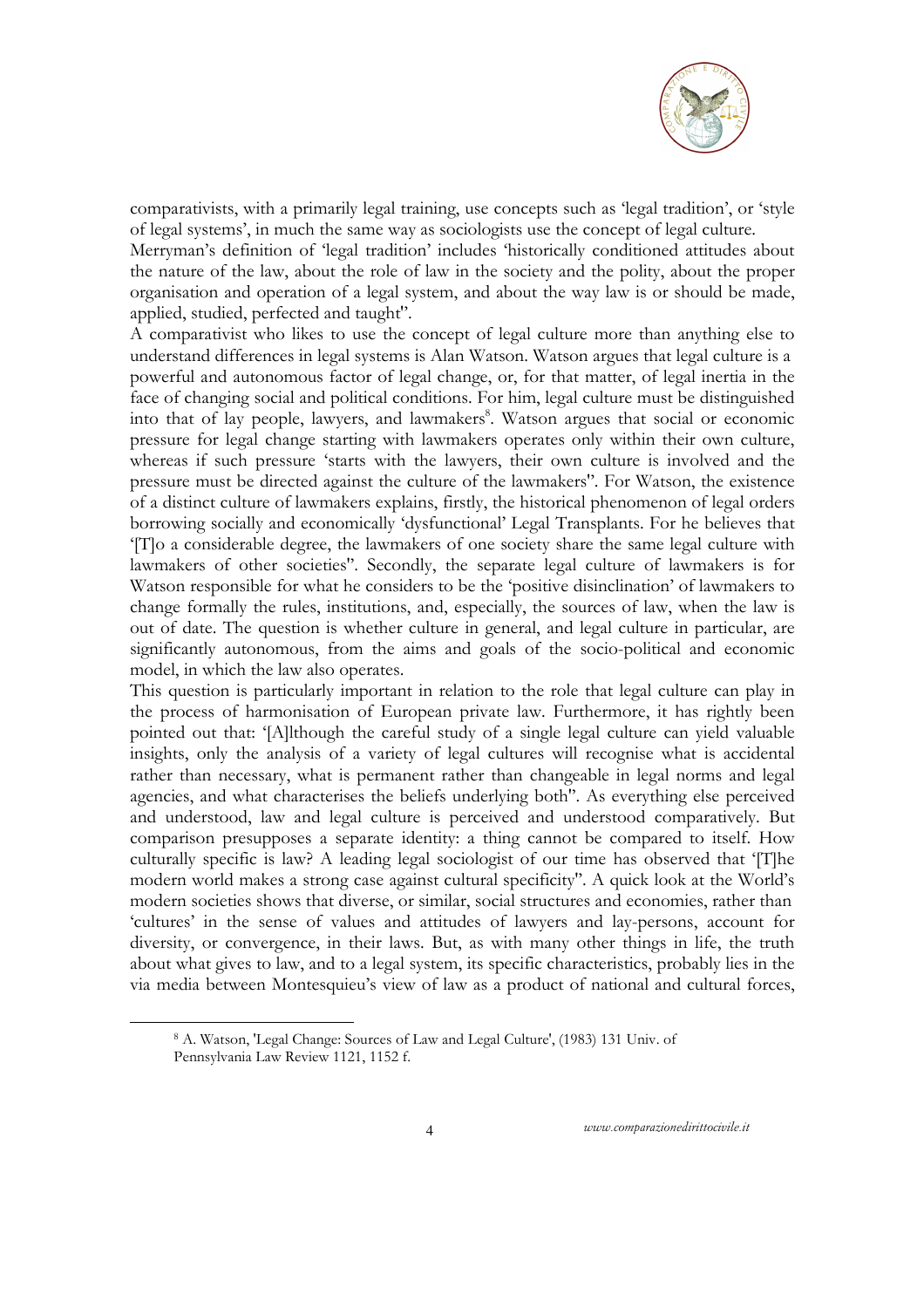

comparativists, with a primarily legal training, use concepts such as 'legal tradition', or 'style of legal systems', in much the same way as sociologists use the concept of legal culture.

Merryman's definition of 'legal tradition' includes 'historically conditioned attitudes about the nature of the law, about the role of law in the society and the polity, about the proper organisation and operation of a legal system, and about the way law is or should be made, applied, studied, perfected and taught''.

A comparativist who likes to use the concept of legal culture more than anything else to understand differences in legal systems is Alan Watson. Watson argues that legal culture is a powerful and autonomous factor of legal change, or, for that matter, of legal inertia in the face of changing social and political conditions. For him, legal culture must be distinguished into that of lay people, lawyers, and lawmakers<sup>8</sup>. Watson argues that social or economic pressure for legal change starting with lawmakers operates only within their own culture, whereas if such pressure 'starts with the lawyers, their own culture is involved and the pressure must be directed against the culture of the lawmakers''. For Watson, the existence of a distinct culture of lawmakers explains, firstly, the historical phenomenon of legal orders borrowing socially and economically 'dysfunctional' Legal Transplants. For he believes that '[T]o a considerable degree, the lawmakers of one society share the same legal culture with lawmakers of other societies''. Secondly, the separate legal culture of lawmakers is for Watson responsible for what he considers to be the 'positive disinclination' of lawmakers to change formally the rules, institutions, and, especially, the sources of law, when the law is out of date. The question is whether culture in general, and legal culture in particular, are significantly autonomous, from the aims and goals of the socio-political and economic model, in which the law also operates.

This question is particularly important in relation to the role that legal culture can play in the process of harmonisation of European private law. Furthermore, it has rightly been pointed out that: '[A]lthough the careful study of a single legal culture can yield valuable insights, only the analysis of a variety of legal cultures will recognise what is accidental rather than necessary, what is permanent rather than changeable in legal norms and legal agencies, and what characterises the beliefs underlying both''. As everything else perceived and understood, law and legal culture is perceived and understood comparatively. But comparison presupposes a separate identity: a thing cannot be compared to itself. How culturally specific is law? A leading legal sociologist of our time has observed that '[T]he modern world makes a strong case against cultural specificity''. A quick look at the World's modern societies shows that diverse, or similar, social structures and economies, rather than 'cultures' in the sense of values and attitudes of lawyers and lay-persons, account for diversity, or convergence, in their laws. But, as with many other things in life, the truth about what gives to law, and to a legal system, its specific characteristics, probably lies in the via media between Montesquieu's view of law as a product of national and cultural forces,

l

<sup>8</sup> A. Watson, 'Legal Change: Sources of Law and Legal Culture', (1983) 131 Univ. of Pennsylvania Law Review 1121, 1152 f.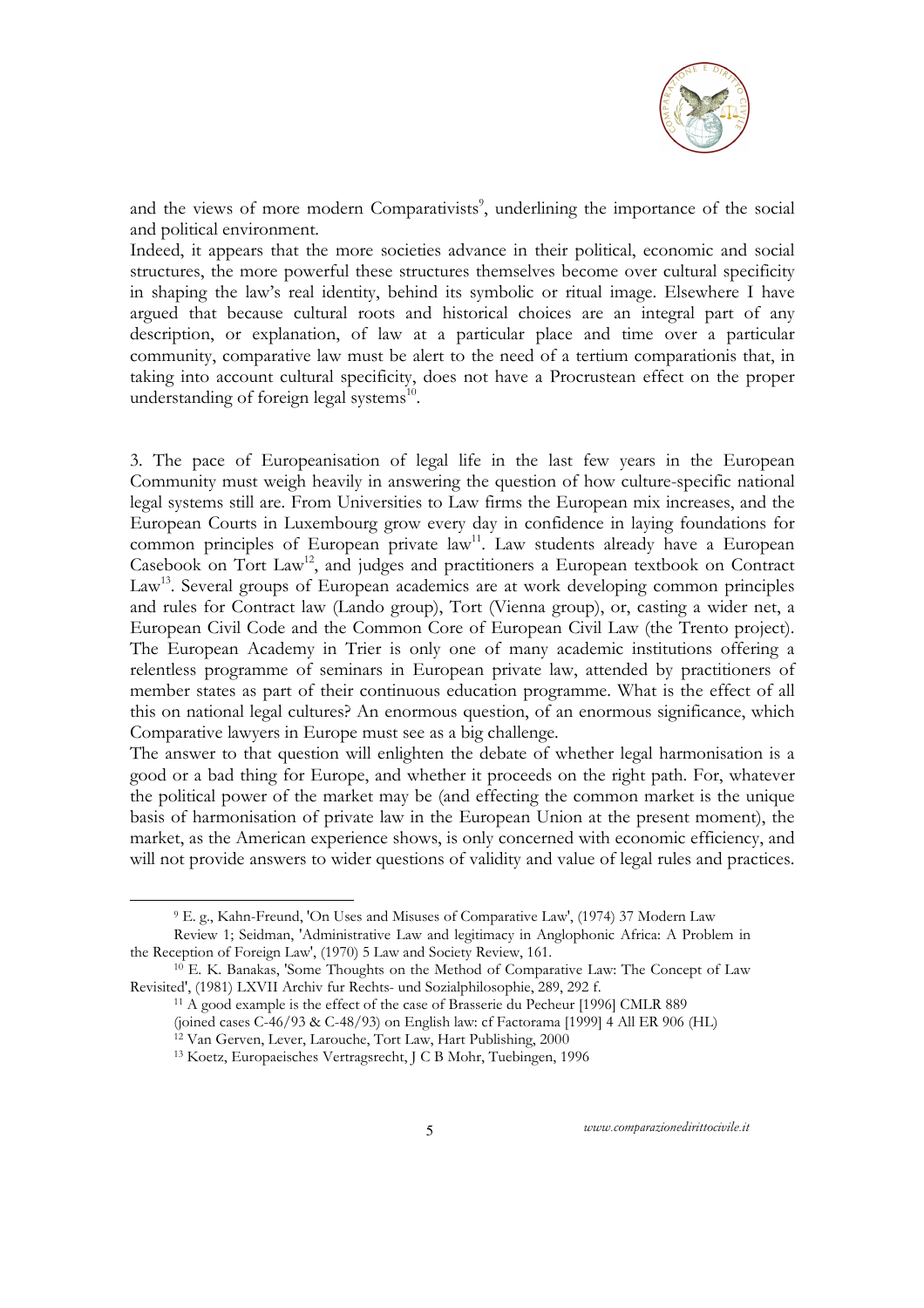

and the views of more modern Comparativists<sup>9</sup>, underlining the importance of the social and political environment.

Indeed, it appears that the more societies advance in their political, economic and social structures, the more powerful these structures themselves become over cultural specificity in shaping the law's real identity, behind its symbolic or ritual image. Elsewhere I have argued that because cultural roots and historical choices are an integral part of any description, or explanation, of law at a particular place and time over a particular community, comparative law must be alert to the need of a tertium comparationis that, in taking into account cultural specificity, does not have a Procrustean effect on the proper understanding of foreign legal systems $^{10}$ .

3. The pace of Europeanisation of legal life in the last few years in the European Community must weigh heavily in answering the question of how culture-specific national legal systems still are. From Universities to Law firms the European mix increases, and the European Courts in Luxembourg grow every day in confidence in laying foundations for common principles of European private law<sup>11</sup>. Law students already have a European Casebook on Tort Law<sup>12</sup>, and judges and practitioners a European textbook on Contract Law<sup>13</sup>. Several groups of European academics are at work developing common principles and rules for Contract law (Lando group), Tort (Vienna group), or, casting a wider net, a European Civil Code and the Common Core of European Civil Law (the Trento project). The European Academy in Trier is only one of many academic institutions offering a relentless programme of seminars in European private law, attended by practitioners of member states as part of their continuous education programme. What is the effect of all this on national legal cultures? An enormous question, of an enormous significance, which Comparative lawyers in Europe must see as a big challenge.

The answer to that question will enlighten the debate of whether legal harmonisation is a good or a bad thing for Europe, and whether it proceeds on the right path. For, whatever the political power of the market may be (and effecting the common market is the unique basis of harmonisation of private law in the European Union at the present moment), the market, as the American experience shows, is only concerned with economic efficiency, and will not provide answers to wider questions of validity and value of legal rules and practices.

l

<sup>9</sup> E. g., Kahn-Freund, 'On Uses and Misuses of Comparative Law', (1974) 37 Modern Law

Review 1; Seidman, 'Administrative Law and legitimacy in Anglophonic Africa: A Problem in the Reception of Foreign Law', (1970) 5 Law and Society Review, 161.

<sup>10</sup> E. K. Banakas, 'Some Thoughts on the Method of Comparative Law: The Concept of Law Revisited', (1981) LXVII Archiv fur Rechts- und Sozialphilosophie, 289, 292 f.

<sup>11</sup> A good example is the effect of the case of Brasserie du Pecheur [1996] CMLR 889

<sup>(</sup>joined cases C-46/93 & C-48/93) on English law: cf Factorama [1999] 4 All ER 906 (HL)

<sup>&</sup>lt;sup>12</sup> Van Gerven, Lever, Larouche, Tort Law, Hart Publishing, 2000

<sup>13</sup> Koetz, Europaeisches Vertragsrecht, J C B Mohr, Tuebingen, 1996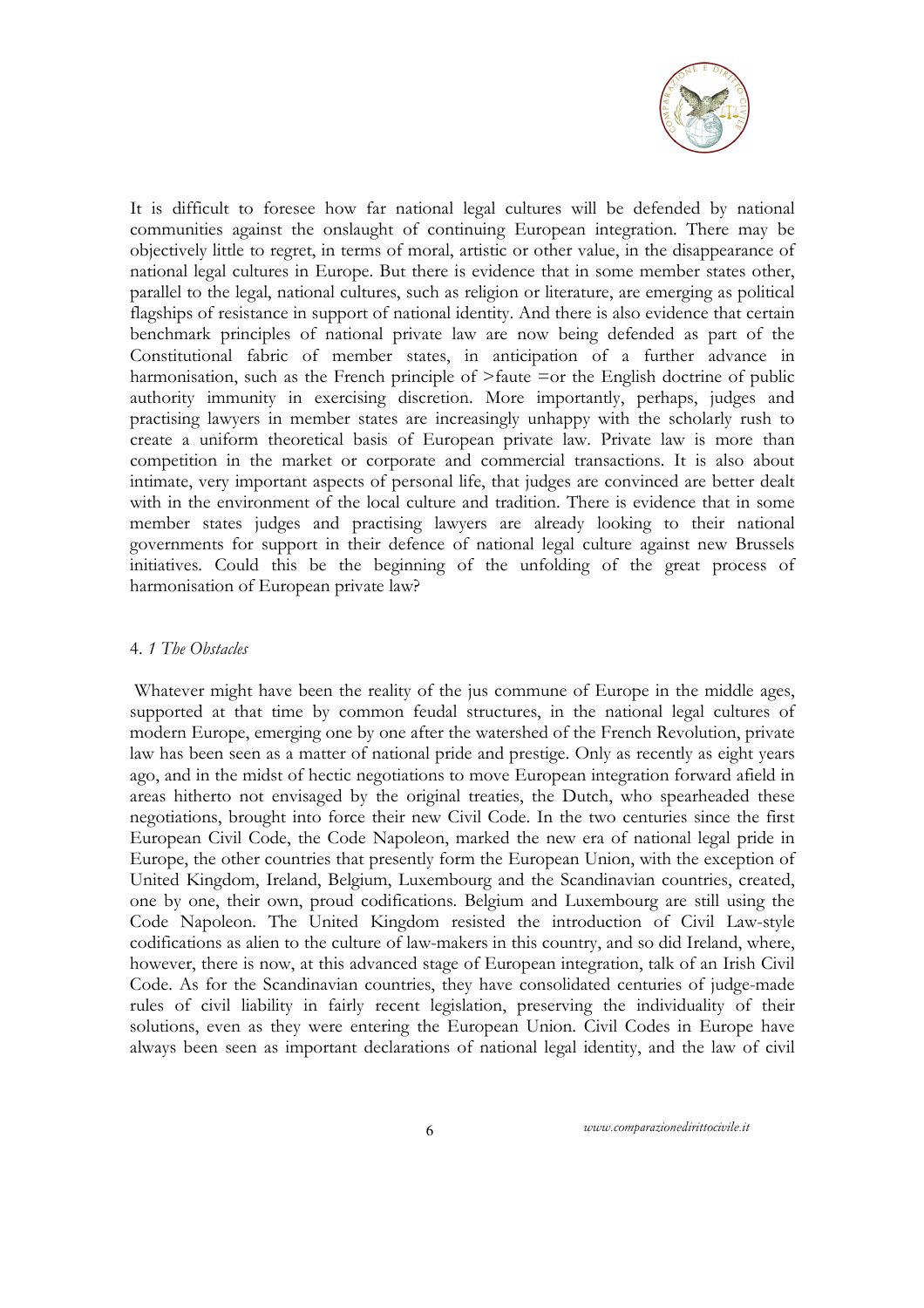

It is difficult to foresee how far national legal cultures will be defended by national communities against the onslaught of continuing European integration. There may be objectively little to regret, in terms of moral, artistic or other value, in the disappearance of national legal cultures in Europe. But there is evidence that in some member states other, parallel to the legal, national cultures, such as religion or literature, are emerging as political flagships of resistance in support of national identity. And there is also evidence that certain benchmark principles of national private law are now being defended as part of the Constitutional fabric of member states, in anticipation of a further advance in harmonisation, such as the French principle of >faute =or the English doctrine of public authority immunity in exercising discretion. More importantly, perhaps, judges and practising lawyers in member states are increasingly unhappy with the scholarly rush to create a uniform theoretical basis of European private law. Private law is more than competition in the market or corporate and commercial transactions. It is also about intimate, very important aspects of personal life, that judges are convinced are better dealt with in the environment of the local culture and tradition. There is evidence that in some member states judges and practising lawyers are already looking to their national governments for support in their defence of national legal culture against new Brussels initiatives. Could this be the beginning of the unfolding of the great process of harmonisation of European private law?

### 4. 1 The Obstacles

 Whatever might have been the reality of the jus commune of Europe in the middle ages, supported at that time by common feudal structures, in the national legal cultures of modern Europe, emerging one by one after the watershed of the French Revolution, private law has been seen as a matter of national pride and prestige. Only as recently as eight years ago, and in the midst of hectic negotiations to move European integration forward afield in areas hitherto not envisaged by the original treaties, the Dutch, who spearheaded these negotiations, brought into force their new Civil Code. In the two centuries since the first European Civil Code, the Code Napoleon, marked the new era of national legal pride in Europe, the other countries that presently form the European Union, with the exception of United Kingdom, Ireland, Belgium, Luxembourg and the Scandinavian countries, created, one by one, their own, proud codifications. Belgium and Luxembourg are still using the Code Napoleon. The United Kingdom resisted the introduction of Civil Law-style codifications as alien to the culture of law-makers in this country, and so did Ireland, where, however, there is now, at this advanced stage of European integration, talk of an Irish Civil Code. As for the Scandinavian countries, they have consolidated centuries of judge-made rules of civil liability in fairly recent legislation, preserving the individuality of their solutions, even as they were entering the European Union. Civil Codes in Europe have always been seen as important declarations of national legal identity, and the law of civil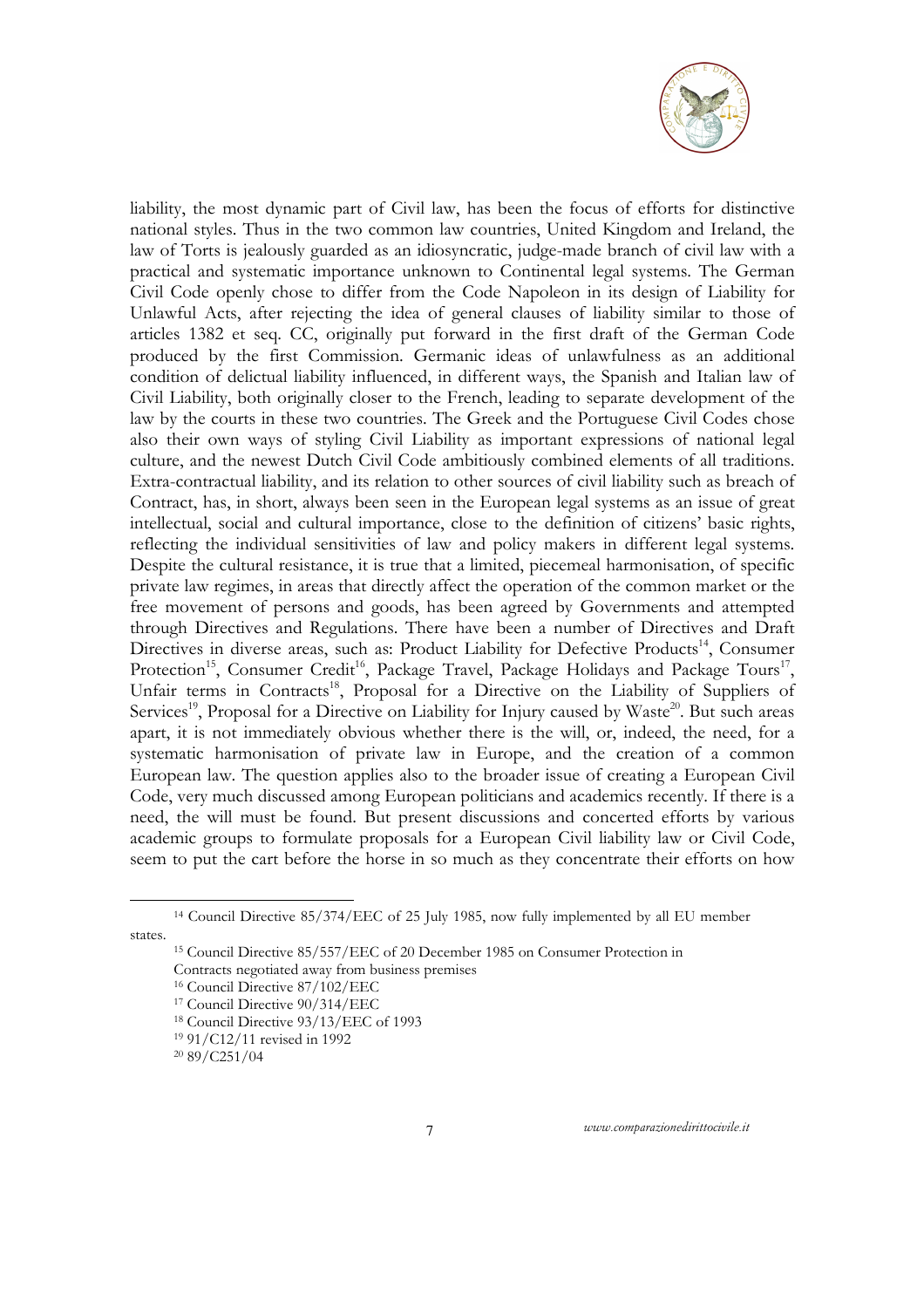

liability, the most dynamic part of Civil law, has been the focus of efforts for distinctive national styles. Thus in the two common law countries, United Kingdom and Ireland, the law of Torts is jealously guarded as an idiosyncratic, judge-made branch of civil law with a practical and systematic importance unknown to Continental legal systems. The German Civil Code openly chose to differ from the Code Napoleon in its design of Liability for Unlawful Acts, after rejecting the idea of general clauses of liability similar to those of articles 1382 et seq. CC, originally put forward in the first draft of the German Code produced by the first Commission. Germanic ideas of unlawfulness as an additional condition of delictual liability influenced, in different ways, the Spanish and Italian law of Civil Liability, both originally closer to the French, leading to separate development of the law by the courts in these two countries. The Greek and the Portuguese Civil Codes chose also their own ways of styling Civil Liability as important expressions of national legal culture, and the newest Dutch Civil Code ambitiously combined elements of all traditions. Extra-contractual liability, and its relation to other sources of civil liability such as breach of Contract, has, in short, always been seen in the European legal systems as an issue of great intellectual, social and cultural importance, close to the definition of citizens' basic rights, reflecting the individual sensitivities of law and policy makers in different legal systems. Despite the cultural resistance, it is true that a limited, piecemeal harmonisation, of specific private law regimes, in areas that directly affect the operation of the common market or the free movement of persons and goods, has been agreed by Governments and attempted through Directives and Regulations. There have been a number of Directives and Draft Directives in diverse areas, such as: Product Liability for Defective Products<sup>14</sup>, Consumer Protection<sup>15</sup>, Consumer Credit<sup>16</sup>, Package Travel, Package Holidays and Package Tours<sup>17</sup>, Unfair terms in Contracts<sup>18</sup>, Proposal for a Directive on the Liability of Suppliers of Services<sup>19</sup>, Proposal for a Directive on Liability for Injury caused by Waste<sup>20</sup>. But such areas apart, it is not immediately obvious whether there is the will, or, indeed, the need, for a systematic harmonisation of private law in Europe, and the creation of a common European law. The question applies also to the broader issue of creating a European Civil Code, very much discussed among European politicians and academics recently. If there is a need, the will must be found. But present discussions and concerted efforts by various academic groups to formulate proposals for a European Civil liability law or Civil Code, seem to put the cart before the horse in so much as they concentrate their efforts on how

states.

l

<sup>14</sup> Council Directive 85/374/EEC of 25 July 1985, now fully implemented by all EU member

<sup>15</sup> Council Directive 85/557/EEC of 20 December 1985 on Consumer Protection in Contracts negotiated away from business premises

<sup>16</sup> Council Directive 87/102/EEC

<sup>17</sup> Council Directive 90/314/EEC

<sup>18</sup> Council Directive 93/13/EEC of 1993

<sup>19</sup> 91/C12/11 revised in 1992

<sup>20</sup> 89/C251/04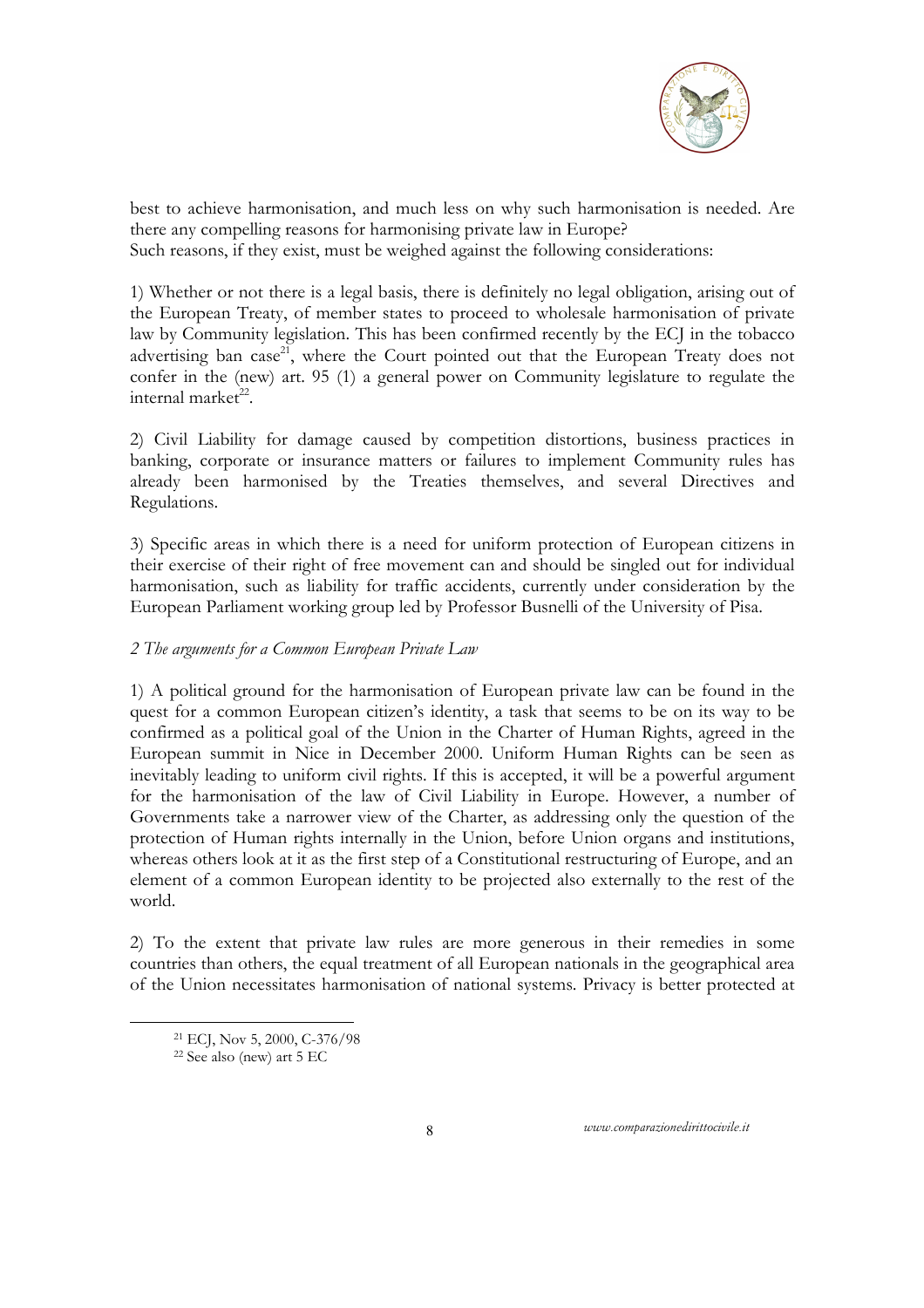

best to achieve harmonisation, and much less on why such harmonisation is needed. Are there any compelling reasons for harmonising private law in Europe? Such reasons, if they exist, must be weighed against the following considerations:

1) Whether or not there is a legal basis, there is definitely no legal obligation, arising out of the European Treaty, of member states to proceed to wholesale harmonisation of private law by Community legislation. This has been confirmed recently by the ECJ in the tobacco advertising ban case<sup>21</sup>, where the Court pointed out that the European Treaty does not confer in the (new) art. 95 (1) a general power on Community legislature to regulate the  $\text{internal market}^{22}.$ 

2) Civil Liability for damage caused by competition distortions, business practices in banking, corporate or insurance matters or failures to implement Community rules has already been harmonised by the Treaties themselves, and several Directives and Regulations.

3) Specific areas in which there is a need for uniform protection of European citizens in their exercise of their right of free movement can and should be singled out for individual harmonisation, such as liability for traffic accidents, currently under consideration by the European Parliament working group led by Professor Busnelli of the University of Pisa.

# 2 The arguments for a Common European Private Law

1) A political ground for the harmonisation of European private law can be found in the quest for a common European citizen's identity, a task that seems to be on its way to be confirmed as a political goal of the Union in the Charter of Human Rights, agreed in the European summit in Nice in December 2000. Uniform Human Rights can be seen as inevitably leading to uniform civil rights. If this is accepted, it will be a powerful argument for the harmonisation of the law of Civil Liability in Europe. However, a number of Governments take a narrower view of the Charter, as addressing only the question of the protection of Human rights internally in the Union, before Union organs and institutions, whereas others look at it as the first step of a Constitutional restructuring of Europe, and an element of a common European identity to be projected also externally to the rest of the world.

2) To the extent that private law rules are more generous in their remedies in some countries than others, the equal treatment of all European nationals in the geographical area of the Union necessitates harmonisation of national systems. Privacy is better protected at

l

<sup>21</sup> ECJ, Nov 5, 2000, C-376/98

<sup>22</sup> See also (new) art 5 EC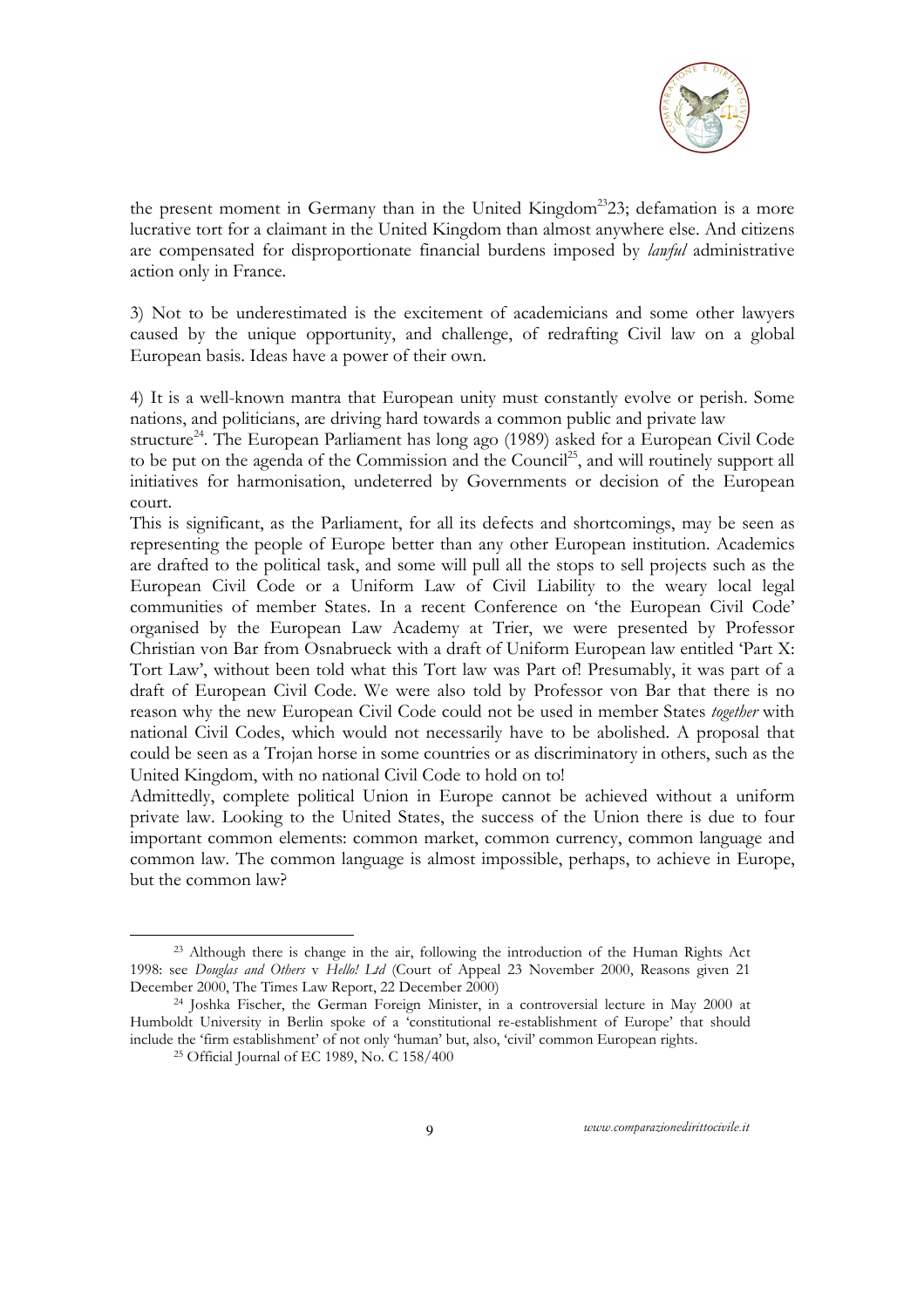

the present moment in Germany than in the United Kingdom<sup>23</sup>23; defamation is a more lucrative tort for a claimant in the United Kingdom than almost anywhere else. And citizens are compensated for disproportionate financial burdens imposed by lawful administrative action only in France.

3) Not to be underestimated is the excitement of academicians and some other lawyers caused by the unique opportunity, and challenge, of redrafting Civil law on a global European basis. Ideas have a power of their own.

4) It is a well-known mantra that European unity must constantly evolve or perish. Some nations, and politicians, are driving hard towards a common public and private law

structure<sup>24</sup>. The European Parliament has long ago (1989) asked for a European Civil Code to be put on the agenda of the Commission and the Council<sup>25</sup>, and will routinely support all initiatives for harmonisation, undeterred by Governments or decision of the European court.

This is significant, as the Parliament, for all its defects and shortcomings, may be seen as representing the people of Europe better than any other European institution. Academics are drafted to the political task, and some will pull all the stops to sell projects such as the European Civil Code or a Uniform Law of Civil Liability to the weary local legal communities of member States. In a recent Conference on 'the European Civil Code' organised by the European Law Academy at Trier, we were presented by Professor Christian von Bar from Osnabrueck with a draft of Uniform European law entitled 'Part X: Tort Law', without been told what this Tort law was Part of! Presumably, it was part of a draft of European Civil Code. We were also told by Professor von Bar that there is no reason why the new European Civil Code could not be used in member States together with national Civil Codes, which would not necessarily have to be abolished. A proposal that could be seen as a Trojan horse in some countries or as discriminatory in others, such as the United Kingdom, with no national Civil Code to hold on to!

Admittedly, complete political Union in Europe cannot be achieved without a uniform private law. Looking to the United States, the success of the Union there is due to four important common elements: common market, common currency, common language and common law. The common language is almost impossible, perhaps, to achieve in Europe, but the common law?

l

<sup>23</sup> Although there is change in the air, following the introduction of the Human Rights Act 1998: see Douglas and Others v Hello! Ltd (Court of Appeal 23 November 2000, Reasons given 21 December 2000, The Times Law Report, 22 December 2000)

<sup>24</sup> Joshka Fischer, the German Foreign Minister, in a controversial lecture in May 2000 at Humboldt University in Berlin spoke of a 'constitutional re-establishment of Europe' that should include the 'firm establishment' of not only 'human' but, also, 'civil' common European rights.

<sup>25</sup> Official Journal of EC 1989, No. C 158/400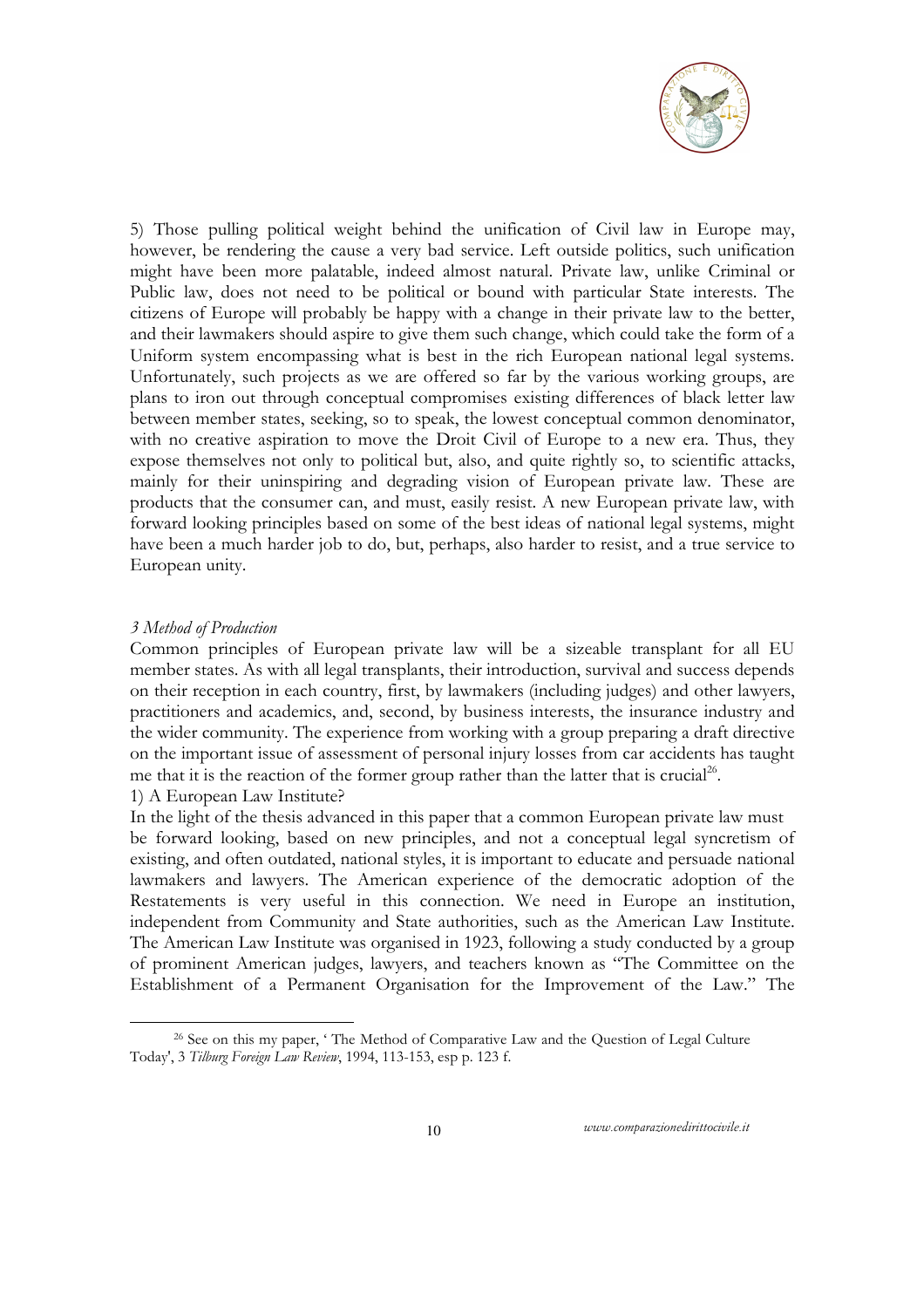

5) Those pulling political weight behind the unification of Civil law in Europe may, however, be rendering the cause a very bad service. Left outside politics, such unification might have been more palatable, indeed almost natural. Private law, unlike Criminal or Public law, does not need to be political or bound with particular State interests. The citizens of Europe will probably be happy with a change in their private law to the better, and their lawmakers should aspire to give them such change, which could take the form of a Uniform system encompassing what is best in the rich European national legal systems. Unfortunately, such projects as we are offered so far by the various working groups, are plans to iron out through conceptual compromises existing differences of black letter law between member states, seeking, so to speak, the lowest conceptual common denominator, with no creative aspiration to move the Droit Civil of Europe to a new era. Thus, they expose themselves not only to political but, also, and quite rightly so, to scientific attacks, mainly for their uninspiring and degrading vision of European private law. These are products that the consumer can, and must, easily resist. A new European private law, with forward looking principles based on some of the best ideas of national legal systems, might have been a much harder job to do, but, perhaps, also harder to resist, and a true service to European unity.

### 3 Method of Production

Common principles of European private law will be a sizeable transplant for all EU member states. As with all legal transplants, their introduction, survival and success depends on their reception in each country, first, by lawmakers (including judges) and other lawyers, practitioners and academics, and, second, by business interests, the insurance industry and the wider community. The experience from working with a group preparing a draft directive on the important issue of assessment of personal injury losses from car accidents has taught me that it is the reaction of the former group rather than the latter that is crucial<sup>26</sup>.

### 1) A European Law Institute?

l

In the light of the thesis advanced in this paper that a common European private law must be forward looking, based on new principles, and not a conceptual legal syncretism of existing, and often outdated, national styles, it is important to educate and persuade national lawmakers and lawyers. The American experience of the democratic adoption of the Restatements is very useful in this connection. We need in Europe an institution, independent from Community and State authorities, such as the American Law Institute. The American Law Institute was organised in 1923, following a study conducted by a group of prominent American judges, lawyers, and teachers known as "The Committee on the Establishment of a Permanent Organisation for the Improvement of the Law." The

<sup>26</sup> See on this my paper, ' The Method of Comparative Law and the Question of Legal Culture Today', 3 Tilburg Foreign Law Review, 1994, 113-153, esp p. 123 f.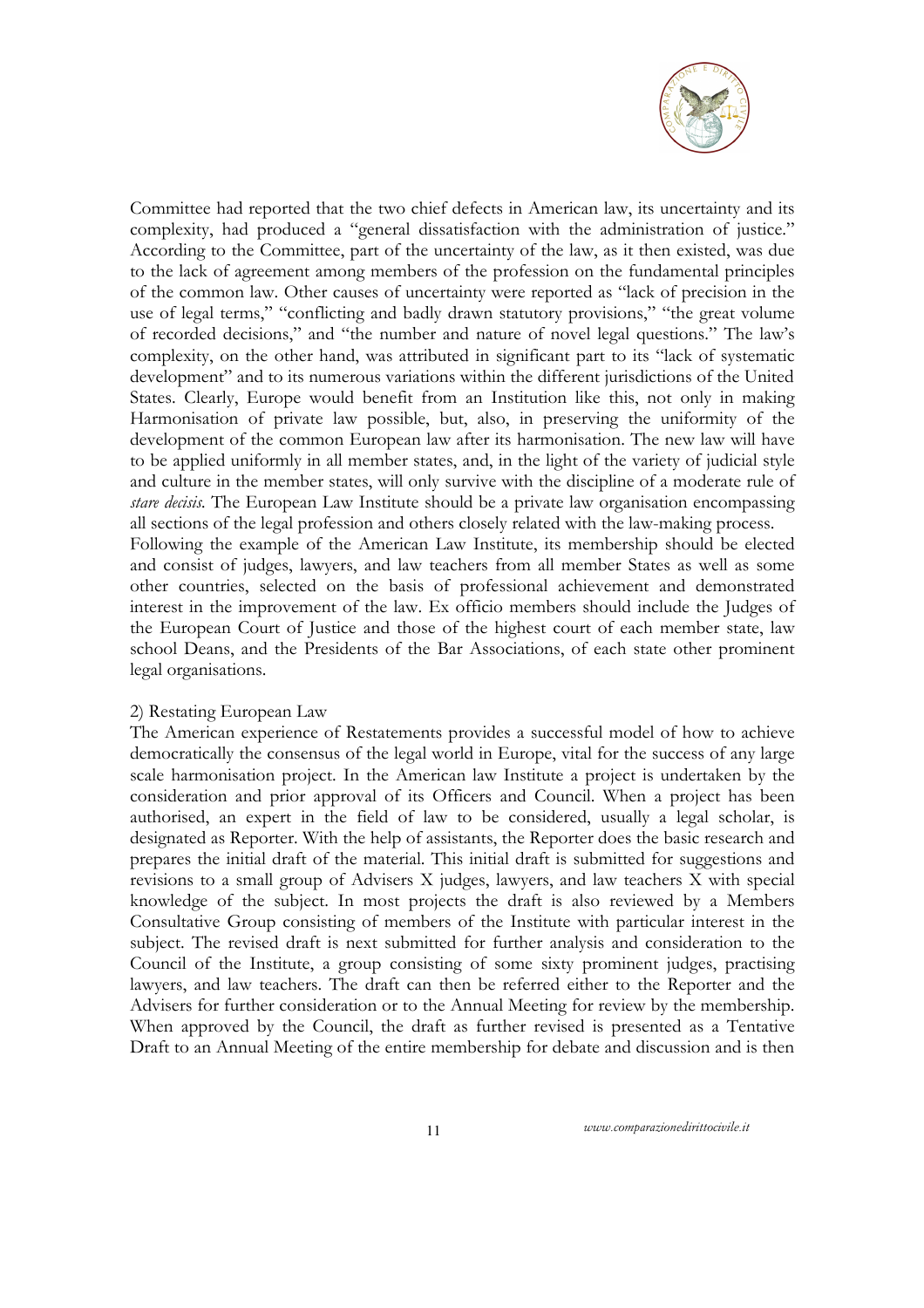

Committee had reported that the two chief defects in American law, its uncertainty and its complexity, had produced a "general dissatisfaction with the administration of justice." According to the Committee, part of the uncertainty of the law, as it then existed, was due to the lack of agreement among members of the profession on the fundamental principles of the common law. Other causes of uncertainty were reported as "lack of precision in the use of legal terms," "conflicting and badly drawn statutory provisions," "the great volume of recorded decisions," and "the number and nature of novel legal questions." The law's complexity, on the other hand, was attributed in significant part to its "lack of systematic development" and to its numerous variations within the different jurisdictions of the United States. Clearly, Europe would benefit from an Institution like this, not only in making Harmonisation of private law possible, but, also, in preserving the uniformity of the development of the common European law after its harmonisation. The new law will have to be applied uniformly in all member states, and, in the light of the variety of judicial style and culture in the member states, will only survive with the discipline of a moderate rule of stare decisis. The European Law Institute should be a private law organisation encompassing all sections of the legal profession and others closely related with the law-making process. Following the example of the American Law Institute, its membership should be elected and consist of judges, lawyers, and law teachers from all member States as well as some other countries, selected on the basis of professional achievement and demonstrated interest in the improvement of the law. Ex officio members should include the Judges of the European Court of Justice and those of the highest court of each member state, law school Deans, and the Presidents of the Bar Associations, of each state other prominent

legal organisations.

### 2) Restating European Law

The American experience of Restatements provides a successful model of how to achieve democratically the consensus of the legal world in Europe, vital for the success of any large scale harmonisation project. In the American law Institute a project is undertaken by the consideration and prior approval of its Officers and Council. When a project has been authorised, an expert in the field of law to be considered, usually a legal scholar, is designated as Reporter. With the help of assistants, the Reporter does the basic research and prepares the initial draft of the material. This initial draft is submitted for suggestions and revisions to a small group of Advisers X judges, lawyers, and law teachers X with special knowledge of the subject. In most projects the draft is also reviewed by a Members Consultative Group consisting of members of the Institute with particular interest in the subject. The revised draft is next submitted for further analysis and consideration to the Council of the Institute, a group consisting of some sixty prominent judges, practising lawyers, and law teachers. The draft can then be referred either to the Reporter and the Advisers for further consideration or to the Annual Meeting for review by the membership. When approved by the Council, the draft as further revised is presented as a Tentative Draft to an Annual Meeting of the entire membership for debate and discussion and is then